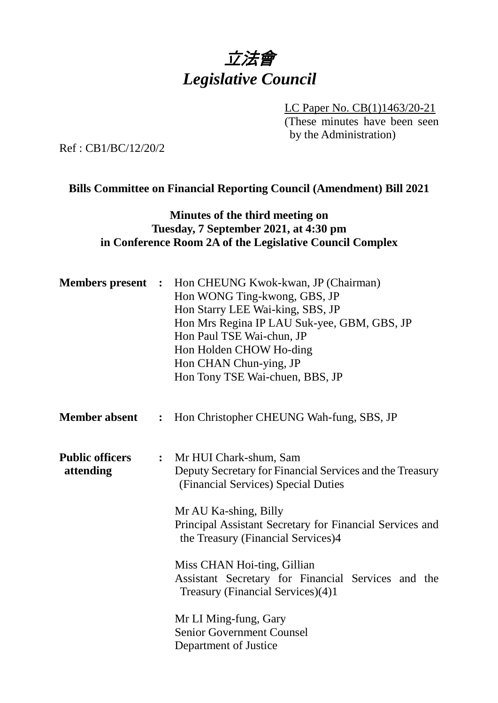# 立法會 *Legislative Council*

LC Paper No. CB(1)1463/20-21 (These minutes have been seen by the Administration)

Ref : CB1/BC/12/20/2

#### **Bills Committee on Financial Reporting Council (Amendment) Bill 2021**

#### **Minutes of the third meeting on Tuesday, 7 September 2021, at 4:30 pm in Conference Room 2A of the Legislative Council Complex**

| <b>Members</b> present              | $\ddot{\cdot}$                                                                                                                                                                                                                                                                                                                                                                                   | Hon CHEUNG Kwok-kwan, JP (Chairman)<br>Hon WONG Ting-kwong, GBS, JP<br>Hon Starry LEE Wai-king, SBS, JP<br>Hon Mrs Regina IP LAU Suk-yee, GBM, GBS, JP<br>Hon Paul TSE Wai-chun, JP<br>Hon Holden CHOW Ho-ding<br>Hon CHAN Chun-ying, JP<br>Hon Tony TSE Wai-chuen, BBS, JP |
|-------------------------------------|--------------------------------------------------------------------------------------------------------------------------------------------------------------------------------------------------------------------------------------------------------------------------------------------------------------------------------------------------------------------------------------------------|-----------------------------------------------------------------------------------------------------------------------------------------------------------------------------------------------------------------------------------------------------------------------------|
| <b>Member absent</b>                | :                                                                                                                                                                                                                                                                                                                                                                                                | Hon Christopher CHEUNG Wah-fung, SBS, JP                                                                                                                                                                                                                                    |
| <b>Public officers</b><br>attending | Mr HUI Chark-shum, Sam<br>$\ddot{\cdot}$<br>Deputy Secretary for Financial Services and the Treasury<br>(Financial Services) Special Duties<br>Mr AU Ka-shing, Billy<br>Principal Assistant Secretary for Financial Services and<br>the Treasury (Financial Services)4<br>Miss CHAN Hoi-ting, Gillian<br>Assistant Secretary for Financial Services and the<br>Treasury (Financial Services)(4)1 |                                                                                                                                                                                                                                                                             |
|                                     |                                                                                                                                                                                                                                                                                                                                                                                                  | Mr LI Ming-fung, Gary<br><b>Senior Government Counsel</b><br>Department of Justice                                                                                                                                                                                          |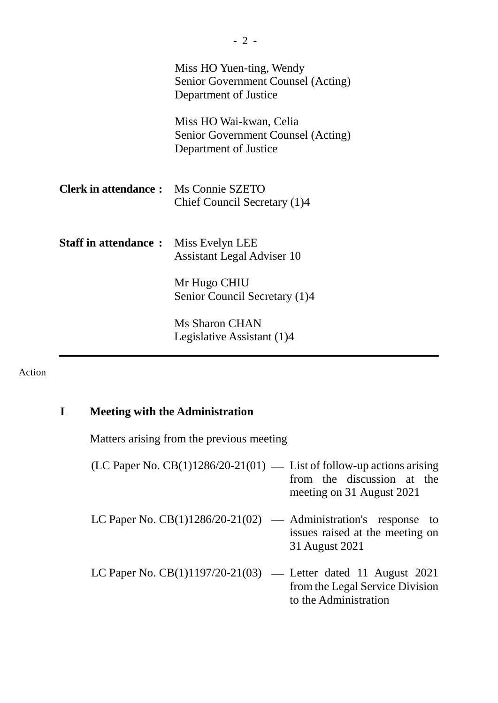|                                              | Miss HO Yuen-ting, Wendy<br>Senior Government Counsel (Acting)<br>Department of Justice |
|----------------------------------------------|-----------------------------------------------------------------------------------------|
|                                              | Miss HO Wai-kwan, Celia<br>Senior Government Counsel (Acting)<br>Department of Justice  |
| <b>Clerk in attendance:</b> Ms Connie SZETO  | Chief Council Secretary (1)4                                                            |
| <b>Staff in attendance :</b> Miss Evelyn LEE | <b>Assistant Legal Adviser 10</b>                                                       |
|                                              | Mr Hugo CHIU<br>Senior Council Secretary (1)4                                           |
|                                              | <b>Ms Sharon CHAN</b><br>Legislative Assistant (1)4                                     |

## Action

## **I Meeting with the Administration**

Matters arising from the previous meeting

| (LC Paper No. $CB(1)1286/20-21(01)$ — List of follow-up actions arising | from the discussion at the<br>meeting on 31 August 2021  |
|-------------------------------------------------------------------------|----------------------------------------------------------|
| LC Paper No. $CB(1)1286/20-21(02)$ — Administration's response to       | issues raised at the meeting on<br>31 August 2021        |
| LC Paper No. $CB(1)1197/20-21(03)$ — Letter dated 11 August 2021        | from the Legal Service Division<br>to the Administration |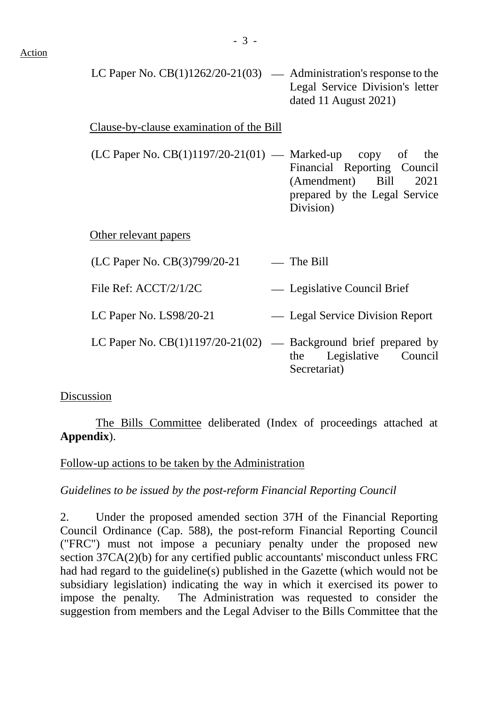LC Paper No.  $CB(1)1262/20-21(03)$  — Administration's response to the Legal Service Division's letter dated 11 August 2021)

#### Clause-by-clause examination of the Bill

 $(LC$  Paper No.  $CB(1)1197/20-21(01)$  — Marked-up copy of the Financial Reporting Council (Amendment) Bill 2021 prepared by the Legal Service Division)

#### Other relevant papers

| (LC Paper No. CB(3)799/20-21 | $-$ The Bill |
|------------------------------|--------------|
|                              |              |

File Ref: ACCT/2/1/2C Legislative Council Brief

LC Paper No. LS98/20-21 Legal Service Division Report

LC Paper No.  $CB(1)1197/20-21(02)$  — Background brief prepared by the Legislative Council Secretariat)

#### Discussion

The Bills Committee deliberated (Index of proceedings attached at **Appendix**).

#### Follow-up actions to be taken by the Administration

#### *Guidelines to be issued by the post-reform Financial Reporting Council*

2. Under the proposed amended section 37H of the Financial Reporting Council Ordinance (Cap. 588), the post-reform Financial Reporting Council ("FRC") must not impose a pecuniary penalty under the proposed new section 37CA(2)(b) for any certified public accountants' misconduct unless FRC had had regard to the guideline(s) published in the Gazette (which would not be subsidiary legislation) indicating the way in which it exercised its power to impose the penalty. The Administration was requested to consider the suggestion from members and the Legal Adviser to the Bills Committee that the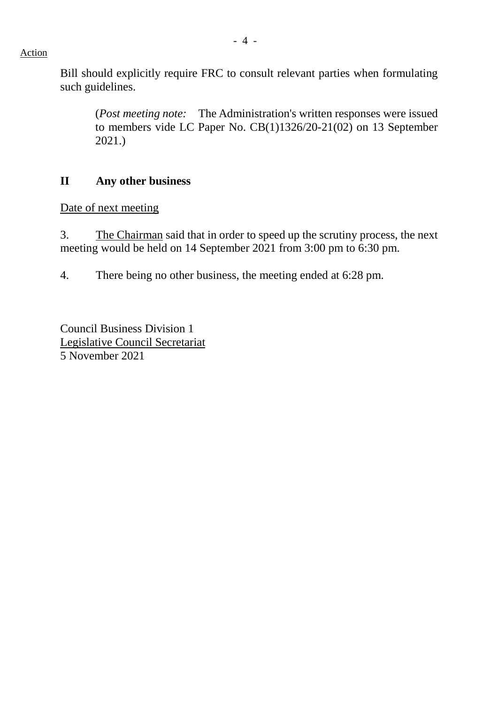#### Action

Bill should explicitly require FRC to consult relevant parties when formulating such guidelines.

(*Post meeting note:* The Administration's written responses were issued to members vide LC Paper No. CB(1)1326/20-21(02) on 13 September 2021.)

#### **II Any other business**

Date of next meeting

3. The Chairman said that in order to speed up the scrutiny process, the next meeting would be held on 14 September 2021 from 3:00 pm to 6:30 pm.

4. There being no other business, the meeting ended at 6:28 pm.

Council Business Division 1 Legislative Council Secretariat 5 November 2021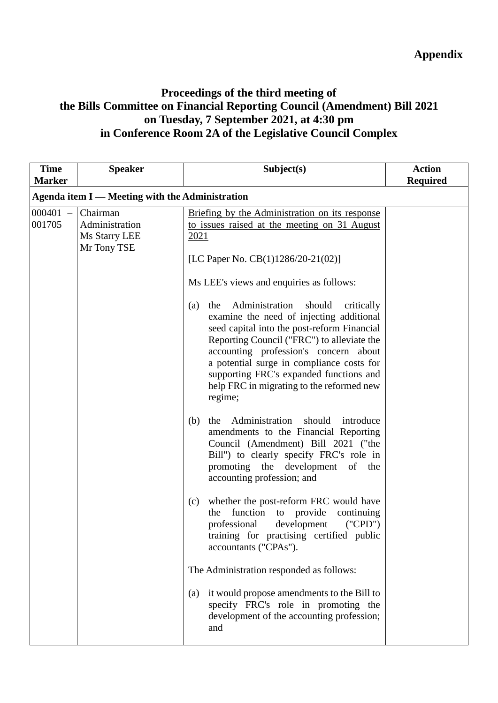## **Appendix**

### **Proceedings of the third meeting of the Bills Committee on Financial Reporting Council (Amendment) Bill 2021 on Tuesday, 7 September 2021, at 4:30 pm in Conference Room 2A of the Legislative Council Complex**

| <b>Time</b><br><b>Marker</b> | <b>Speaker</b>                                             | Subject(s)                                                                                                                                                                                                                                                                                                                                                                             | <b>Action</b><br><b>Required</b> |
|------------------------------|------------------------------------------------------------|----------------------------------------------------------------------------------------------------------------------------------------------------------------------------------------------------------------------------------------------------------------------------------------------------------------------------------------------------------------------------------------|----------------------------------|
|                              | Agenda item I — Meeting with the Administration            |                                                                                                                                                                                                                                                                                                                                                                                        |                                  |
| $000401 -$<br>001705         | Chairman<br>Administration<br>Ms Starry LEE<br>Mr Tony TSE | Briefing by the Administration on its response<br>to issues raised at the meeting on 31 August<br>2021                                                                                                                                                                                                                                                                                 |                                  |
|                              |                                                            | [LC Paper No. CB(1)1286/20-21(02)]                                                                                                                                                                                                                                                                                                                                                     |                                  |
|                              |                                                            | Ms LEE's views and enquiries as follows:                                                                                                                                                                                                                                                                                                                                               |                                  |
|                              |                                                            | Administration<br>should<br>critically<br>(a)<br>the<br>examine the need of injecting additional<br>seed capital into the post-reform Financial<br>Reporting Council ("FRC") to alleviate the<br>accounting profession's concern about<br>a potential surge in compliance costs for<br>supporting FRC's expanded functions and<br>help FRC in migrating to the reformed new<br>regime; |                                  |
|                              |                                                            | Administration<br>should<br>introduce<br>(b)<br>the<br>amendments to the Financial Reporting<br>Council (Amendment) Bill 2021 ("the<br>Bill") to clearly specify FRC's role in<br>promoting the development of the<br>accounting profession; and                                                                                                                                       |                                  |
|                              |                                                            | whether the post-reform FRC would have<br>(c)<br>function<br>provide<br>continuing<br>the<br>to<br>professional<br>development<br>('CPD")<br>training for practising certified public<br>accountants ("CPAs").                                                                                                                                                                         |                                  |
|                              |                                                            | The Administration responded as follows:                                                                                                                                                                                                                                                                                                                                               |                                  |
|                              |                                                            | it would propose amendments to the Bill to<br>(a)<br>specify FRC's role in promoting the<br>development of the accounting profession;<br>and                                                                                                                                                                                                                                           |                                  |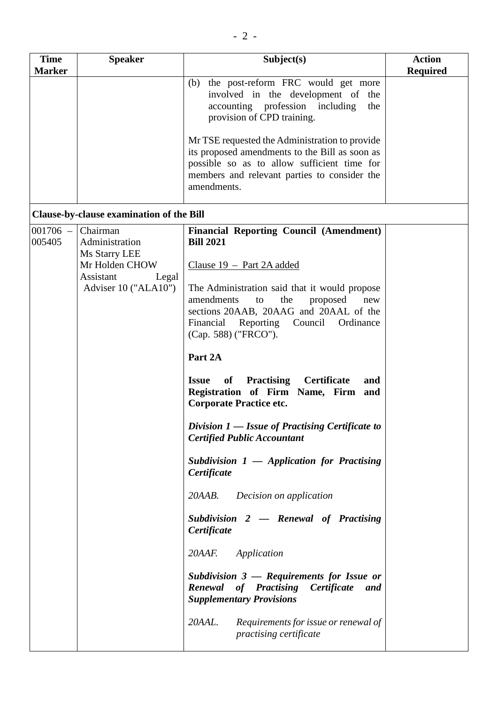| <b>Time</b>          | <b>Speaker</b>                              | Subject(s)                                                                                                                                                                                                     | <b>Action</b>   |
|----------------------|---------------------------------------------|----------------------------------------------------------------------------------------------------------------------------------------------------------------------------------------------------------------|-----------------|
| <b>Marker</b>        |                                             |                                                                                                                                                                                                                | <b>Required</b> |
|                      |                                             | (b) the post-reform FRC would get more<br>involved in the development of the<br>accounting profession including<br>the<br>provision of CPD training.                                                           |                 |
|                      |                                             | Mr TSE requested the Administration to provide<br>its proposed amendments to the Bill as soon as<br>possible so as to allow sufficient time for<br>members and relevant parties to consider the<br>amendments. |                 |
|                      | Clause-by-clause examination of the Bill    |                                                                                                                                                                                                                |                 |
| $001706 -$<br>005405 | Chairman<br>Administration<br>Ms Starry LEE | <b>Financial Reporting Council (Amendment)</b><br><b>Bill 2021</b>                                                                                                                                             |                 |
|                      | Mr Holden CHOW<br>Assistant<br>Legal        | Clause $19$ – Part 2A added                                                                                                                                                                                    |                 |
|                      | Adviser 10 ("ALA10")                        | The Administration said that it would propose<br>amendments<br>the<br>proposed<br>to<br>new<br>sections 20AAB, 20AAG and 20AAL of the<br>Financial<br>Reporting Council<br>Ordinance<br>(Cap. 588) ("FRCO").   |                 |
|                      |                                             | Part 2A                                                                                                                                                                                                        |                 |
|                      |                                             | <b>Practising Certificate</b><br><b>Issue</b><br>of<br>and<br>Registration of Firm Name, Firm and<br><b>Corporate Practice etc.</b>                                                                            |                 |
|                      |                                             | Division $1$ – Issue of Practising Certificate to<br><b>Certified Public Accountant</b>                                                                                                                        |                 |
|                      |                                             | Subdivision $1$ — Application for Practising<br>Certificate                                                                                                                                                    |                 |
|                      |                                             | 20AAB.<br>Decision on application                                                                                                                                                                              |                 |
|                      |                                             | Subdivision $2$ - Renewal of Practising<br>Certificate                                                                                                                                                         |                 |
|                      |                                             | 20AAF.<br>Application                                                                                                                                                                                          |                 |
|                      |                                             | Subdivision $3$ — Requirements for Issue or<br>Renewal of Practising<br>Certificate<br>and<br><b>Supplementary Provisions</b>                                                                                  |                 |
|                      |                                             | Requirements for issue or renewal of<br>20AAL.<br>practising certificate                                                                                                                                       |                 |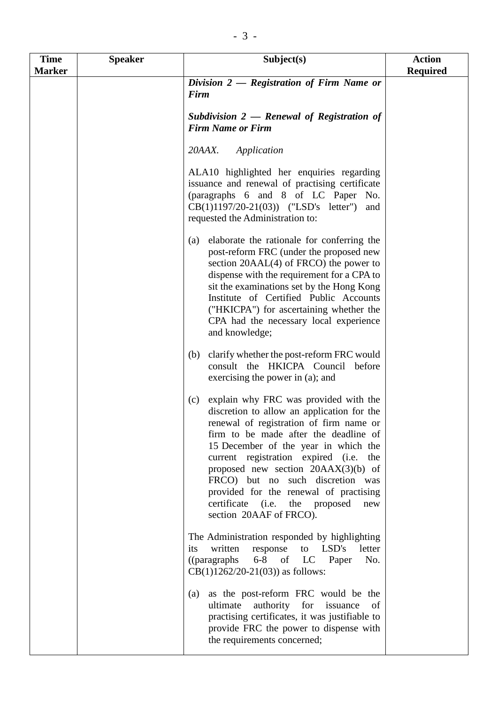| <b>Time</b><br><b>Marker</b> | <b>Speaker</b> | Subject(s)                                                                                                                                                                                                                                                                                                                                                                                                                                                           | <b>Action</b><br><b>Required</b> |
|------------------------------|----------------|----------------------------------------------------------------------------------------------------------------------------------------------------------------------------------------------------------------------------------------------------------------------------------------------------------------------------------------------------------------------------------------------------------------------------------------------------------------------|----------------------------------|
|                              |                | Division $2$ – Registration of Firm Name or<br>Firm                                                                                                                                                                                                                                                                                                                                                                                                                  |                                  |
|                              |                | Subdivision $2$ – Renewal of Registration of<br><b>Firm Name or Firm</b>                                                                                                                                                                                                                                                                                                                                                                                             |                                  |
|                              |                | 20AAX.<br>Application                                                                                                                                                                                                                                                                                                                                                                                                                                                |                                  |
|                              |                | ALA10 highlighted her enquiries regarding<br>issuance and renewal of practising certificate<br>(paragraphs 6 and 8 of LC Paper No.<br>$CB(1)1197/20-21(03))$ ("LSD's letter")<br>and<br>requested the Administration to:                                                                                                                                                                                                                                             |                                  |
|                              |                | elaborate the rationale for conferring the<br>(a)<br>post-reform FRC (under the proposed new<br>section $20AAL(4)$ of FRCO) the power to<br>dispense with the requirement for a CPA to<br>sit the examinations set by the Hong Kong<br>Institute of Certified Public Accounts<br>("HKICPA") for ascertaining whether the<br>CPA had the necessary local experience<br>and knowledge;                                                                                 |                                  |
|                              |                | clarify whether the post-reform FRC would<br>(b)<br>consult the HKICPA Council before<br>exercising the power in (a); and                                                                                                                                                                                                                                                                                                                                            |                                  |
|                              |                | explain why FRC was provided with the<br>(c)<br>discretion to allow an application for the<br>renewal of registration of firm name or<br>firm to be made after the deadline of<br>15 December of the year in which the<br>current registration expired (i.e.<br>the<br>proposed new section $20AAX(3)(b)$ of<br>FRCO) but no such discretion<br>was<br>provided for the renewal of practising<br>certificate (i.e.<br>the proposed<br>new<br>section 20AAF of FRCO). |                                  |
|                              |                | The Administration responded by highlighting<br>written<br>response<br>LSD's<br>letter<br>its<br>to<br>$((\text{params})$<br>$6-8$ of<br>LC<br>No.<br>Paper<br>$CB(1)1262/20-21(03))$ as follows:                                                                                                                                                                                                                                                                    |                                  |
|                              |                | as the post-reform FRC would be the<br>(a)<br>ultimate<br>authority for issuance<br>of<br>practising certificates, it was justifiable to<br>provide FRC the power to dispense with<br>the requirements concerned;                                                                                                                                                                                                                                                    |                                  |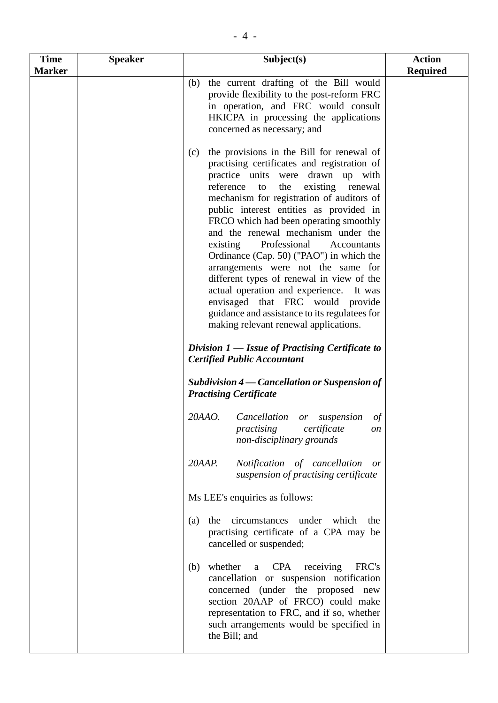| <b>Time</b>   | <b>Speaker</b> | Subject(s)                                                                                                                                                                                                                                                                                                                                                                                                                                                                                                                                                                                                                                                                                                                                                          | <b>Action</b>   |
|---------------|----------------|---------------------------------------------------------------------------------------------------------------------------------------------------------------------------------------------------------------------------------------------------------------------------------------------------------------------------------------------------------------------------------------------------------------------------------------------------------------------------------------------------------------------------------------------------------------------------------------------------------------------------------------------------------------------------------------------------------------------------------------------------------------------|-----------------|
| <b>Marker</b> |                |                                                                                                                                                                                                                                                                                                                                                                                                                                                                                                                                                                                                                                                                                                                                                                     | <b>Required</b> |
|               |                | the current drafting of the Bill would<br>(b)<br>provide flexibility to the post-reform FRC<br>in operation, and FRC would consult<br>HKICPA in processing the applications<br>concerned as necessary; and                                                                                                                                                                                                                                                                                                                                                                                                                                                                                                                                                          |                 |
|               |                | the provisions in the Bill for renewal of<br>(c)<br>practising certificates and registration of<br>practice units were drawn up with<br>reference<br>the<br>existing renewal<br>to<br>mechanism for registration of auditors of<br>public interest entities as provided in<br>FRCO which had been operating smoothly<br>and the renewal mechanism under the<br>Professional<br>existing<br>Accountants<br>Ordinance (Cap. 50) ("PAO") in which the<br>arrangements were not the same for<br>different types of renewal in view of the<br>actual operation and experience. It was<br>envisaged that FRC would provide<br>guidance and assistance to its regulatees for<br>making relevant renewal applications.<br>Division $1$ – Issue of Practising Certificate to |                 |
|               |                | <b>Certified Public Accountant</b>                                                                                                                                                                                                                                                                                                                                                                                                                                                                                                                                                                                                                                                                                                                                  |                 |
|               |                | Subdivision 4 – Cancellation or Suspension of<br><b>Practising Certificate</b>                                                                                                                                                                                                                                                                                                                                                                                                                                                                                                                                                                                                                                                                                      |                 |
|               |                | 20AAO.<br>Cancellation or suspension<br>of<br>practising certificate<br>on<br>non-disciplinary grounds                                                                                                                                                                                                                                                                                                                                                                                                                                                                                                                                                                                                                                                              |                 |
|               |                | 20AAP.<br>Notification of cancellation<br><i>or</i><br>suspension of practising certificate                                                                                                                                                                                                                                                                                                                                                                                                                                                                                                                                                                                                                                                                         |                 |
|               |                | Ms LEE's enquiries as follows:                                                                                                                                                                                                                                                                                                                                                                                                                                                                                                                                                                                                                                                                                                                                      |                 |
|               |                | which<br>circumstances<br>under<br>the<br>(a)<br>the<br>practising certificate of a CPA may be<br>cancelled or suspended;                                                                                                                                                                                                                                                                                                                                                                                                                                                                                                                                                                                                                                           |                 |
|               |                | whether<br><b>CPA</b><br>receiving<br>FRC's<br>(b)<br>a<br>cancellation or suspension notification<br>concerned (under the proposed new<br>section 20AAP of FRCO) could make<br>representation to FRC, and if so, whether<br>such arrangements would be specified in<br>the Bill; and                                                                                                                                                                                                                                                                                                                                                                                                                                                                               |                 |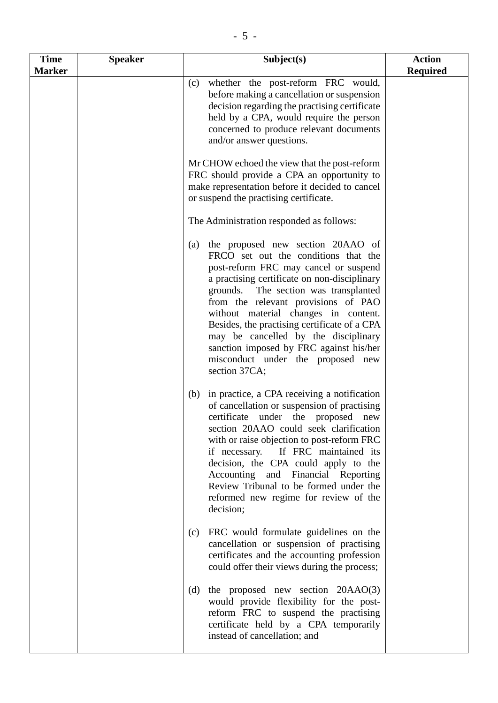| <b>Time</b>   | <b>Speaker</b> | Subject(s)                                                                                                                                                                                                                                                                                                                                                                                                                                                                                 | <b>Action</b>   |
|---------------|----------------|--------------------------------------------------------------------------------------------------------------------------------------------------------------------------------------------------------------------------------------------------------------------------------------------------------------------------------------------------------------------------------------------------------------------------------------------------------------------------------------------|-----------------|
| <b>Marker</b> |                |                                                                                                                                                                                                                                                                                                                                                                                                                                                                                            | <b>Required</b> |
|               |                | whether the post-reform FRC would,<br>(c)<br>before making a cancellation or suspension<br>decision regarding the practising certificate<br>held by a CPA, would require the person<br>concerned to produce relevant documents<br>and/or answer questions.                                                                                                                                                                                                                                 |                 |
|               |                | Mr CHOW echoed the view that the post-reform<br>FRC should provide a CPA an opportunity to<br>make representation before it decided to cancel<br>or suspend the practising certificate.                                                                                                                                                                                                                                                                                                    |                 |
|               |                | The Administration responded as follows:                                                                                                                                                                                                                                                                                                                                                                                                                                                   |                 |
|               |                | the proposed new section 20AAO of<br>(a)<br>FRCO set out the conditions that the<br>post-reform FRC may cancel or suspend<br>a practising certificate on non-disciplinary<br>grounds. The section was transplanted<br>from the relevant provisions of PAO<br>without material changes in content.<br>Besides, the practising certificate of a CPA<br>may be cancelled by the disciplinary<br>sanction imposed by FRC against his/her<br>misconduct under the proposed new<br>section 37CA; |                 |
|               |                | (b) in practice, a CPA receiving a notification<br>of cancellation or suspension of practising<br>certificate under the proposed new<br>section 20AAO could seek clarification<br>with or raise objection to post-reform FRC<br>if necessary. If FRC maintained its<br>decision, the CPA could apply to the<br>Accounting and Financial Reporting<br>Review Tribunal to be formed under the<br>reformed new regime for review of the<br>decision;                                          |                 |
|               |                | FRC would formulate guidelines on the<br>(c)<br>cancellation or suspension of practising<br>certificates and the accounting profession<br>could offer their views during the process;                                                                                                                                                                                                                                                                                                      |                 |
|               |                | the proposed new section $20AAO(3)$<br>(d)<br>would provide flexibility for the post-<br>reform FRC to suspend the practising<br>certificate held by a CPA temporarily<br>instead of cancellation; and                                                                                                                                                                                                                                                                                     |                 |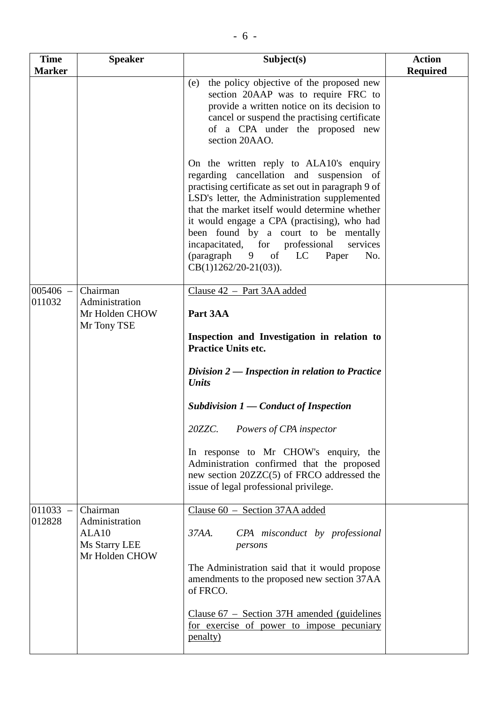| <b>Time</b><br><b>Marker</b> | <b>Speaker</b>                                              | Subject(s)                                                                                                                                                                                                                                                                                                                                                                                                                                              | <b>Action</b><br><b>Required</b> |
|------------------------------|-------------------------------------------------------------|---------------------------------------------------------------------------------------------------------------------------------------------------------------------------------------------------------------------------------------------------------------------------------------------------------------------------------------------------------------------------------------------------------------------------------------------------------|----------------------------------|
|                              |                                                             | the policy objective of the proposed new<br>(e)<br>section 20AAP was to require FRC to<br>provide a written notice on its decision to<br>cancel or suspend the practising certificate<br>of a CPA under the proposed new<br>section 20AAO.                                                                                                                                                                                                              |                                  |
|                              |                                                             | On the written reply to ALA10's enquiry<br>regarding cancellation and suspension of<br>practising certificate as set out in paragraph 9 of<br>LSD's letter, the Administration supplemented<br>that the market itself would determine whether<br>it would engage a CPA (practising), who had<br>been found by a court to be mentally<br>incapacitated, for professional<br>services<br>(paragraph 9 of<br>LC<br>Paper<br>No.<br>$CB(1)1262/20-21(03)).$ |                                  |
| $005406 -$<br>011032         | Chairman<br>Administration<br>Mr Holden CHOW<br>Mr Tony TSE | Clause 42 - Part 3AA added<br>Part 3AA                                                                                                                                                                                                                                                                                                                                                                                                                  |                                  |
|                              |                                                             | Inspection and Investigation in relation to<br><b>Practice Units etc.</b>                                                                                                                                                                                                                                                                                                                                                                               |                                  |
|                              |                                                             | Division $2$ — Inspection in relation to Practice<br>Units                                                                                                                                                                                                                                                                                                                                                                                              |                                  |
|                              |                                                             | Subdivision $1$ — Conduct of Inspection                                                                                                                                                                                                                                                                                                                                                                                                                 |                                  |
|                              |                                                             | 20ZZC. Powers of CPA inspector                                                                                                                                                                                                                                                                                                                                                                                                                          |                                  |
|                              |                                                             | In response to Mr CHOW's enquiry, the<br>Administration confirmed that the proposed<br>new section 20ZZC(5) of FRCO addressed the<br>issue of legal professional privilege.                                                                                                                                                                                                                                                                             |                                  |
| $011033 -$<br>012828         | Chairman<br>Administration                                  | Clause 60 - Section 37AA added                                                                                                                                                                                                                                                                                                                                                                                                                          |                                  |
|                              | ALA10<br>Ms Starry LEE<br>Mr Holden CHOW                    | CPA misconduct by professional<br>$37AA$ .<br>persons                                                                                                                                                                                                                                                                                                                                                                                                   |                                  |
|                              |                                                             | The Administration said that it would propose<br>amendments to the proposed new section 37AA<br>of FRCO.                                                                                                                                                                                                                                                                                                                                                |                                  |
|                              |                                                             | Clause $67$ – Section 37H amended (guidelines<br>for exercise of power to impose pecuniary<br><u>penalty</u> )                                                                                                                                                                                                                                                                                                                                          |                                  |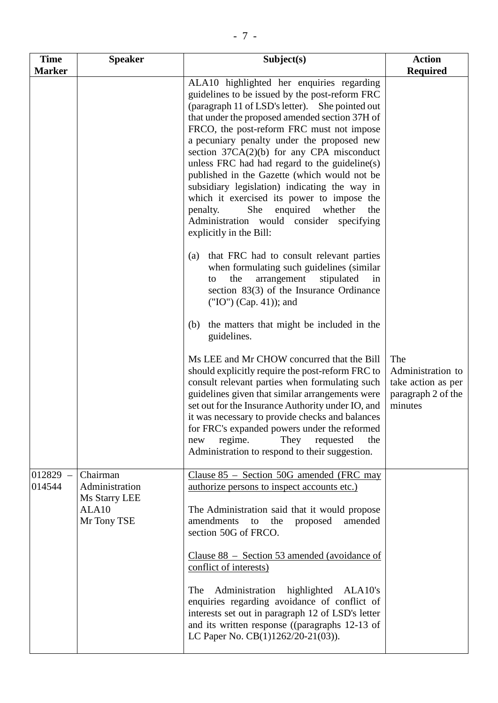| <b>Time</b><br><b>Marker</b> | <b>Speaker</b>                                       | Subject(s)                                                                                                                                                                                                                                                                                                                                                                                                                                                                                                                                                                                                                                                            | <b>Action</b><br><b>Required</b>                                                |
|------------------------------|------------------------------------------------------|-----------------------------------------------------------------------------------------------------------------------------------------------------------------------------------------------------------------------------------------------------------------------------------------------------------------------------------------------------------------------------------------------------------------------------------------------------------------------------------------------------------------------------------------------------------------------------------------------------------------------------------------------------------------------|---------------------------------------------------------------------------------|
|                              |                                                      | ALA10 highlighted her enquiries regarding<br>guidelines to be issued by the post-reform FRC<br>(paragraph 11 of LSD's letter). She pointed out<br>that under the proposed amended section 37H of<br>FRCO, the post-reform FRC must not impose<br>a pecuniary penalty under the proposed new<br>section $37CA(2)(b)$ for any CPA misconduct<br>unless FRC had had regard to the guideline(s)<br>published in the Gazette (which would not be<br>subsidiary legislation) indicating the way in<br>which it exercised its power to impose the<br>She<br>enquired<br>whether<br>penalty.<br>the<br>Administration would consider<br>specifying<br>explicitly in the Bill: |                                                                                 |
|                              |                                                      | that FRC had to consult relevant parties<br>(a)<br>when formulating such guidelines (similar<br>stipulated<br>the<br>arrangement<br>in<br>to<br>section $83(3)$ of the Insurance Ordinance<br>$("IO") (Cap. 41)$ ; and                                                                                                                                                                                                                                                                                                                                                                                                                                                |                                                                                 |
|                              |                                                      | the matters that might be included in the<br>(b)<br>guidelines.                                                                                                                                                                                                                                                                                                                                                                                                                                                                                                                                                                                                       |                                                                                 |
|                              |                                                      | Ms LEE and Mr CHOW concurred that the Bill<br>should explicitly require the post-reform FRC to<br>consult relevant parties when formulating such<br>guidelines given that similar arrangements were<br>set out for the Insurance Authority under IO, and<br>it was necessary to provide checks and balances<br>for FRC's expanded powers under the reformed<br>regime.<br>They<br>requested<br>the<br>new<br>Administration to respond to their suggestion.                                                                                                                                                                                                           | The<br>Administration to<br>take action as per<br>paragraph 2 of the<br>minutes |
| $012829 -$<br>014544         | Chairman<br>Administration<br>Ms Starry LEE<br>ALA10 | Clause $85$ – Section 50G amended (FRC may<br><u>authorize persons to inspect accounts etc.)</u><br>The Administration said that it would propose                                                                                                                                                                                                                                                                                                                                                                                                                                                                                                                     |                                                                                 |
|                              | Mr Tony TSE                                          | amendments<br>the<br>proposed<br>amended<br>to<br>section 50G of FRCO.<br>Clause $88 -$ Section 53 amended (avoidance of                                                                                                                                                                                                                                                                                                                                                                                                                                                                                                                                              |                                                                                 |
|                              |                                                      | conflict of interests)<br>Administration<br>highlighted ALA10's<br>The                                                                                                                                                                                                                                                                                                                                                                                                                                                                                                                                                                                                |                                                                                 |
|                              |                                                      | enquiries regarding avoidance of conflict of<br>interests set out in paragraph 12 of LSD's letter<br>and its written response ((paragraphs 12-13 of<br>LC Paper No. CB(1)1262/20-21(03)).                                                                                                                                                                                                                                                                                                                                                                                                                                                                             |                                                                                 |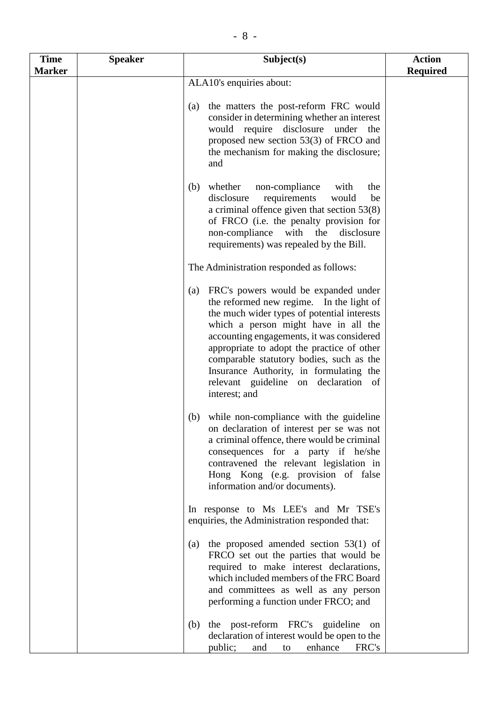| <b>Time</b>   | <b>Speaker</b> | Subject(s)                                                                                                                                                                                                                                                                                                                                                                                                                | <b>Action</b>   |
|---------------|----------------|---------------------------------------------------------------------------------------------------------------------------------------------------------------------------------------------------------------------------------------------------------------------------------------------------------------------------------------------------------------------------------------------------------------------------|-----------------|
| <b>Marker</b> |                | ALA10's enquiries about:                                                                                                                                                                                                                                                                                                                                                                                                  | <b>Required</b> |
|               |                | the matters the post-reform FRC would<br>(a)<br>consider in determining whether an interest<br>would require disclosure under<br>the<br>proposed new section 53(3) of FRCO and<br>the mechanism for making the disclosure;<br>and                                                                                                                                                                                         |                 |
|               |                | whether<br>non-compliance<br>the<br>(b)<br>with<br>disclosure<br>requirements<br>would<br>be<br>a criminal offence given that section $53(8)$<br>of FRCO (i.e. the penalty provision for<br>non-compliance with<br>the<br>disclosure<br>requirements) was repealed by the Bill.                                                                                                                                           |                 |
|               |                | The Administration responded as follows:                                                                                                                                                                                                                                                                                                                                                                                  |                 |
|               |                | FRC's powers would be expanded under<br>(a)<br>the reformed new regime. In the light of<br>the much wider types of potential interests<br>which a person might have in all the<br>accounting engagements, it was considered<br>appropriate to adopt the practice of other<br>comparable statutory bodies, such as the<br>Insurance Authority, in formulating the<br>relevant guideline on declaration of<br>interest; and |                 |
|               |                | while non-compliance with the guideline<br>(b)<br>on declaration of interest per se was not<br>a criminal offence, there would be criminal<br>consequences for a party if he/she<br>contravened the relevant legislation in<br>Hong Kong (e.g. provision of false<br>information and/or documents).                                                                                                                       |                 |
|               |                | In response to Ms LEE's and Mr TSE's<br>enquiries, the Administration responded that:                                                                                                                                                                                                                                                                                                                                     |                 |
|               |                | the proposed amended section $53(1)$ of<br>(a)<br>FRCO set out the parties that would be<br>required to make interest declarations,<br>which included members of the FRC Board<br>and committees as well as any person<br>performing a function under FRCO; and                                                                                                                                                           |                 |
|               |                | the post-reform FRC's guideline<br>(b)<br>on<br>declaration of interest would be open to the<br>public;<br>enhance<br>FRC's<br>and<br>to                                                                                                                                                                                                                                                                                  |                 |